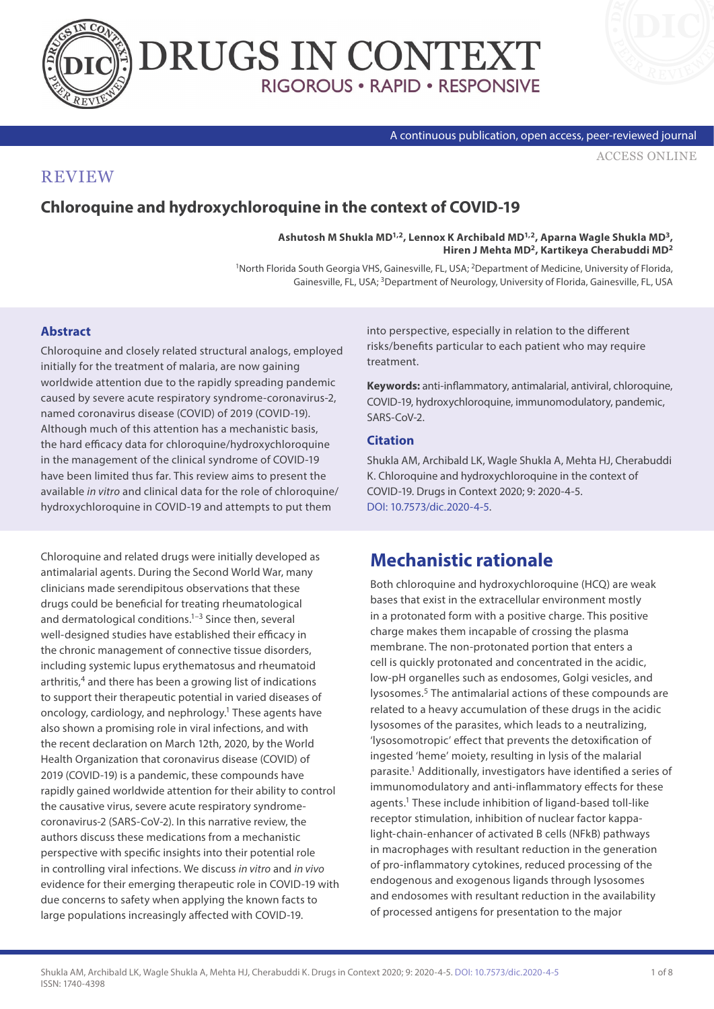



#### A continuous publication, open access, peer-reviewed journal

[ACCESS ONLINE](https://drugsincontext.com/chloroquine-and-hydroxychloroquine-in-the-context-of-covid-19)

### **REVIEW**

### **Chloroquine and hydroxychloroquine in the context of COVID-19**

**Ashutosh M Shukla MD1,2, Lennox K Archibald MD1,2, Aparna Wagle Shukla MD3, Hiren J Mehta MD2, Kartikeya Cherabuddi MD2**

1North Florida South Georgia VHS, Gainesville, FL, USA; 2Department of Medicine, University of Florida, Gainesville, FL, USA; <sup>3</sup>Department of Neurology, University of Florida, Gainesville, FL, USA

#### **Abstract**

Chloroquine and closely related structural analogs, employed initially for the treatment of malaria, are now gaining worldwide attention due to the rapidly spreading pandemic caused by severe acute respiratory syndrome-coronavirus-2, named coronavirus disease (COVID) of 2019 (COVID-19). Although much of this attention has a mechanistic basis, the hard efficacy data for chloroquine/hydroxychloroquine in the management of the clinical syndrome of COVID-19 have been limited thus far. This review aims to present the available *in vitro* and clinical data for the role of chloroquine/ hydroxychloroquine in COVID-19 and attempts to put them

Chloroquine and related drugs were initially developed as antimalarial agents. During the Second World War, many clinicians made serendipitous observations that these drugs could be beneficial for treating rheumatological and dermatological conditions.<sup>1-3</sup> Since then, several well-designed studies have established their efficacy in the chronic management of connective tissue disorders, including systemic lupus erythematosus and rheumatoid arthritis,<sup>4</sup> and there has been a growing list of indications to support their therapeutic potential in varied diseases of oncology, cardiology, and nephrology.1 These agents have also shown a promising role in viral infections, and with the recent declaration on March 12th, 2020, by the World Health Organization that coronavirus disease (COVID) of 2019 (COVID-19) is a pandemic, these compounds have rapidly gained worldwide attention for their ability to control the causative virus, severe acute respiratory syndromecoronavirus-2 (SARS-CoV-2). In this narrative review, the authors discuss these medications from a mechanistic perspective with specific insights into their potential role in controlling viral infections. We discuss *in vitro* and *in vivo* evidence for their emerging therapeutic role in COVID-19 with due concerns to safety when applying the known facts to large populations increasingly affected with COVID-19.

into perspective, especially in relation to the different risks/benefits particular to each patient who may require treatment.

**Keywords:** anti-inflammatory, antimalarial, antiviral, chloroquine, COVID-19, hydroxychloroquine, immunomodulatory, pandemic, SARS-CoV-2

#### **Citation**

Shukla AM, Archibald LK, Wagle Shukla A, Mehta HJ, Cherabuddi K. Chloroquine and hydroxychloroquine in the context of COVID-19. Drugs in Context 2020; 9: 2020-4-5. [DOI: 10.7573/dic.2020-4-5.](https://doi.org/10.7573/dic.2020-4-5)

### **Mechanistic rationale**

Both chloroquine and hydroxychloroquine (HCQ) are weak bases that exist in the extracellular environment mostly in a protonated form with a positive charge. This positive charge makes them incapable of crossing the plasma membrane. The non-protonated portion that enters a cell is quickly protonated and concentrated in the acidic, low-pH organelles such as endosomes, Golgi vesicles, and lysosomes.5 The antimalarial actions of these compounds are related to a heavy accumulation of these drugs in the acidic lysosomes of the parasites, which leads to a neutralizing, 'lysosomotropic' effect that prevents the detoxification of ingested 'heme' moiety, resulting in lysis of the malarial parasite.1 Additionally, investigators have identified a series of immunomodulatory and anti-inflammatory effects for these agents.1 These include inhibition of ligand-based toll-like receptor stimulation, inhibition of nuclear factor kappalight-chain-enhancer of activated B cells (NFkB) pathways in macrophages with resultant reduction in the generation of pro-inflammatory cytokines, reduced processing of the endogenous and exogenous ligands through lysosomes and endosomes with resultant reduction in the availability of processed antigens for presentation to the major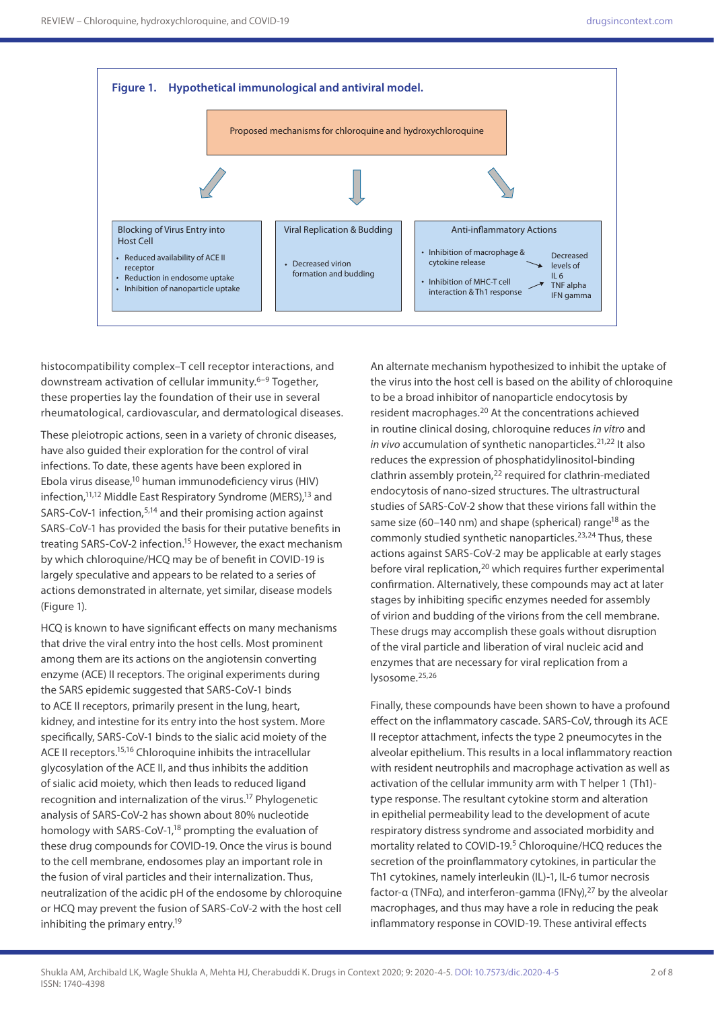

histocompatibility complex–T cell receptor interactions, and downstream activation of cellular immunity.6–9 Together, these properties lay the foundation of their use in several rheumatological, cardiovascular, and dermatological diseases.

These pleiotropic actions, seen in a variety of chronic diseases, have also guided their exploration for the control of viral infections. To date, these agents have been explored in Ebola virus disease,10 human immunodeficiency virus (HIV) infection,<sup>11,12</sup> Middle East Respiratory Syndrome (MERS),<sup>13</sup> and SARS-CoV-1 infection,5,14 and their promising action against SARS-CoV-1 has provided the basis for their putative benefits in treating SARS-CoV-2 infection.15 However, the exact mechanism by which chloroquine/HCQ may be of benefit in COVID-19 is largely speculative and appears to be related to a series of actions demonstrated in alternate, yet similar, disease models (Figure 1).

HCQ is known to have significant effects on many mechanisms that drive the viral entry into the host cells. Most prominent among them are its actions on the angiotensin converting enzyme (ACE) II receptors. The original experiments during the SARS epidemic suggested that SARS-CoV-1 binds to ACE II receptors, primarily present in the lung, heart, kidney, and intestine for its entry into the host system. More specifically, SARS-CoV-1 binds to the sialic acid moiety of the ACE II receptors.15,16 Chloroquine inhibits the intracellular glycosylation of the ACE II, and thus inhibits the addition of sialic acid moiety, which then leads to reduced ligand recognition and internalization of the virus.17 Phylogenetic analysis of SARS-CoV-2 has shown about 80% nucleotide homology with SARS-CoV-1,<sup>18</sup> prompting the evaluation of these drug compounds for COVID-19. Once the virus is bound to the cell membrane, endosomes play an important role in the fusion of viral particles and their internalization. Thus, neutralization of the acidic pH of the endosome by chloroquine or HCQ may prevent the fusion of SARS-CoV-2 with the host cell inhibiting the primary entry.19

An alternate mechanism hypothesized to inhibit the uptake of the virus into the host cell is based on the ability of chloroquine to be a broad inhibitor of nanoparticle endocytosis by resident macrophages.20 At the concentrations achieved in routine clinical dosing, chloroquine reduces *in vitro* and *in vivo* accumulation of synthetic nanoparticles.<sup>21,22</sup> It also reduces the expression of phosphatidylinositol-binding clathrin assembly protein,<sup>22</sup> required for clathrin-mediated endocytosis of nano-sized structures. The ultrastructural studies of SARS-CoV-2 show that these virions fall within the same size (60–140 nm) and shape (spherical) range<sup>18</sup> as the commonly studied synthetic nanoparticles.<sup>23,24</sup> Thus, these actions against SARS-CoV-2 may be applicable at early stages before viral replication,<sup>20</sup> which requires further experimental confirmation. Alternatively, these compounds may act at later stages by inhibiting specific enzymes needed for assembly of virion and budding of the virions from the cell membrane. These drugs may accomplish these goals without disruption of the viral particle and liberation of viral nucleic acid and enzymes that are necessary for viral replication from a lysosome.25,26

Finally, these compounds have been shown to have a profound effect on the inflammatory cascade. SARS-CoV, through its ACE II receptor attachment, infects the type 2 pneumocytes in the alveolar epithelium. This results in a local inflammatory reaction with resident neutrophils and macrophage activation as well as activation of the cellular immunity arm with T helper 1 (Th1) type response. The resultant cytokine storm and alteration in epithelial permeability lead to the development of acute respiratory distress syndrome and associated morbidity and mortality related to COVID-19.<sup>5</sup> Chloroquine/HCQ reduces the secretion of the proinflammatory cytokines, in particular the Th1 cytokines, namely interleukin (IL)-1, IL-6 tumor necrosis factor-α (TNFα), and interferon-gamma (IFNγ),<sup>27</sup> by the alveolar macrophages, and thus may have a role in reducing the peak inflammatory response in COVID-19. These antiviral effects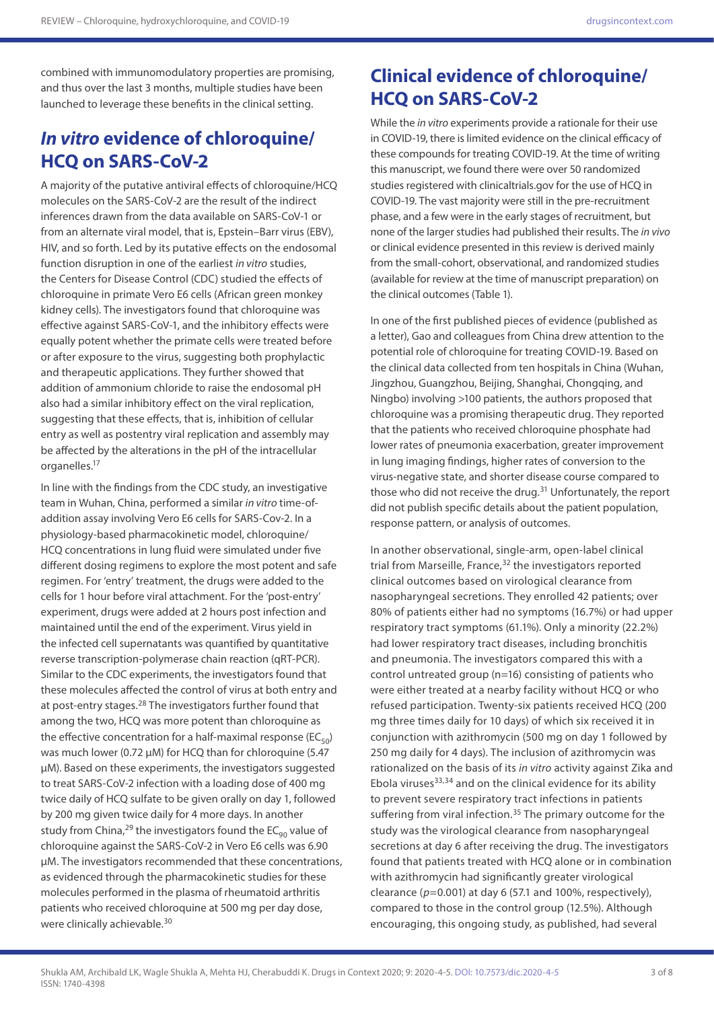combined with immunomodulatory properties are promising, and thus over the last 3 months, multiple studies have been launched to leverage these benefits in the clinical setting.

## *In vitro* **evidence of chloroquine/ HCQ on SARS-CoV-2**

A majority of the putative antiviral effects of chloroquine/HCQ molecules on the SARS-CoV-2 are the result of the indirect inferences drawn from the data available on SARS-CoV-1 or from an alternate viral model, that is, Epstein–Barr virus (EBV), HIV, and so forth. Led by its putative effects on the endosomal function disruption in one of the earliest *in vitro* studies, the Centers for Disease Control (CDC) studied the effects of chloroquine in primate Vero E6 cells (African green monkey kidney cells). The investigators found that chloroquine was effective against SARS-CoV-1, and the inhibitory effects were equally potent whether the primate cells were treated before or after exposure to the virus, suggesting both prophylactic and therapeutic applications. They further showed that addition of ammonium chloride to raise the endosomal pH also had a similar inhibitory effect on the viral replication, suggesting that these effects, that is, inhibition of cellular entry as well as postentry viral replication and assembly may be affected by the alterations in the pH of the intracellular organelles.17

In line with the findings from the CDC study, an investigative team in Wuhan, China, performed a similar *in vitro* time-ofaddition assay involving Vero E6 cells for SARS-Cov-2. In a physiology-based pharmacokinetic model, chloroquine/ HCQ concentrations in lung fluid were simulated under five different dosing regimens to explore the most potent and safe regimen. For 'entry' treatment, the drugs were added to the cells for 1 hour before viral attachment. For the 'post-entry' experiment, drugs were added at 2 hours post infection and maintained until the end of the experiment. Virus yield in the infected cell supernatants was quantified by quantitative reverse transcription-polymerase chain reaction (qRT-PCR). Similar to the CDC experiments, the investigators found that these molecules affected the control of virus at both entry and at post-entry stages.28 The investigators further found that among the two, HCQ was more potent than chloroquine as the effective concentration for a half-maximal response ( $EC_{50}$ ) was much lower (0.72 μM) for HCQ than for chloroquine (5.47 μM). Based on these experiments, the investigators suggested to treat SARS-CoV-2 infection with a loading dose of 400 mg twice daily of HCQ sulfate to be given orally on day 1, followed by 200 mg given twice daily for 4 more days. In another study from China, <sup>29</sup> the investigators found the  $EC_{90}$  value of chloroquine against the SARS-CoV-2 in Vero E6 cells was 6.90 μM. The investigators recommended that these concentrations, as evidenced through the pharmacokinetic studies for these molecules performed in the plasma of rheumatoid arthritis patients who received chloroquine at 500 mg per day dose, were clinically achievable.30

# **Clinical evidence of chloroquine/ HCQ on SARS-CoV-2**

While the *in vitro* experiments provide a rationale for their use in COVID-19, there is limited evidence on the clinical efficacy of these compounds for treating COVID-19. At the time of writing this manuscript, we found there were over 50 randomized studies registered with clinicaltrials.gov for the use of HCQ in COVID-19. The vast majority were still in the pre-recruitment phase, and a few were in the early stages of recruitment, but none of the larger studies had published their results. The *in vivo*  or clinical evidence presented in this review is derived mainly from the small-cohort, observational, and randomized studies (available for review at the time of manuscript preparation) on the clinical outcomes (Table 1).

In one of the first published pieces of evidence (published as a letter), Gao and colleagues from China drew attention to the potential role of chloroquine for treating COVID-19. Based on the clinical data collected from ten hospitals in China (Wuhan, Jingzhou, Guangzhou, Beijing, Shanghai, Chongqing, and Ningbo) involving >100 patients, the authors proposed that chloroquine was a promising therapeutic drug. They reported that the patients who received chloroquine phosphate had lower rates of pneumonia exacerbation, greater improvement in lung imaging findings, higher rates of conversion to the virus-negative state, and shorter disease course compared to those who did not receive the drug.<sup>31</sup> Unfortunately, the report did not publish specific details about the patient population, response pattern, or analysis of outcomes.

In another observational, single-arm, open-label clinical trial from Marseille, France,<sup>32</sup> the investigators reported clinical outcomes based on virological clearance from nasopharyngeal secretions. They enrolled 42 patients; over 80% of patients either had no symptoms (16.7%) or had upper respiratory tract symptoms (61.1%). Only a minority (22.2%) had lower respiratory tract diseases, including bronchitis and pneumonia. The investigators compared this with a control untreated group (n=16) consisting of patients who were either treated at a nearby facility without HCQ or who refused participation. Twenty-six patients received HCQ (200 mg three times daily for 10 days) of which six received it in conjunction with azithromycin (500 mg on day 1 followed by 250 mg daily for 4 days). The inclusion of azithromycin was rationalized on the basis of its *in vitro* activity against Zika and Ebola viruses $33,34$  and on the clinical evidence for its ability to prevent severe respiratory tract infections in patients suffering from viral infection.<sup>35</sup> The primary outcome for the study was the virological clearance from nasopharyngeal secretions at day 6 after receiving the drug. The investigators found that patients treated with HCQ alone or in combination with azithromycin had significantly greater virological clearance (*p*=0.001) at day 6 (57.1 and 100%, respectively), compared to those in the control group (12.5%). Although encouraging, this ongoing study, as published, had several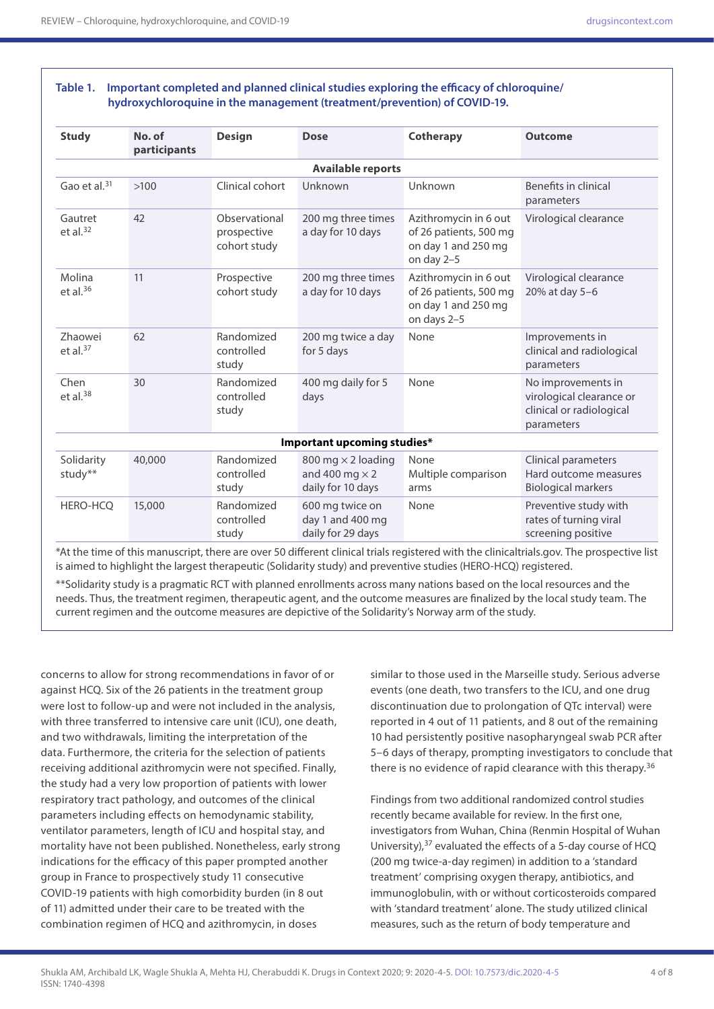#### **Table 1. Important completed and planned clinical studies exploring the efficacy of chloroquine/ hydroxychloroquine in the management (treatment/prevention) of COVID-19.**

| <b>Study</b>                  | No. of<br>participants | <b>Design</b>                                | <b>Dose</b>                                                             | Cotherapy                                                                             | <b>Outcome</b>                                                                           |
|-------------------------------|------------------------|----------------------------------------------|-------------------------------------------------------------------------|---------------------------------------------------------------------------------------|------------------------------------------------------------------------------------------|
| <b>Available reports</b>      |                        |                                              |                                                                         |                                                                                       |                                                                                          |
| Gao et al. $31$               | >100                   | Clinical cohort                              | Unknown                                                                 | Unknown                                                                               | Benefits in clinical<br>parameters                                                       |
| Gautret<br>et al. $32$        | 42                     | Observational<br>prospective<br>cohort study | 200 mg three times<br>a day for 10 days                                 | Azithromycin in 6 out<br>of 26 patients, 500 mg<br>on day 1 and 250 mg<br>on day 2-5  | Virological clearance                                                                    |
| Molina<br>et al. $36$         | 11                     | Prospective<br>cohort study                  | 200 mg three times<br>a day for 10 days                                 | Azithromycin in 6 out<br>of 26 patients, 500 mg<br>on day 1 and 250 mg<br>on days 2-5 | Virological clearance<br>20% at day 5-6                                                  |
| <b>Zhaowei</b><br>et al. $37$ | 62                     | Randomized<br>controlled<br>study            | 200 mg twice a day<br>for 5 days                                        | None                                                                                  | Improvements in<br>clinical and radiological<br>parameters                               |
| Chen<br>et al. $38$           | 30                     | Randomized<br>controlled<br>study            | 400 mg daily for 5<br>days                                              | None                                                                                  | No improvements in<br>virological clearance or<br>clinical or radiological<br>parameters |
| Important upcoming studies*   |                        |                                              |                                                                         |                                                                                       |                                                                                          |
| Solidarity<br>study $**$      | 40,000                 | Randomized<br>controlled<br>study            | 800 mg $\times$ 2 loading<br>and 400 mg $\times$ 2<br>daily for 10 days | None<br>Multiple comparison<br>arms                                                   | Clinical parameters<br>Hard outcome measures<br><b>Biological markers</b>                |
| HERO-HCQ                      | 15,000                 | Randomized<br>controlled<br>study            | 600 mg twice on<br>day 1 and 400 mg<br>daily for 29 days                | None                                                                                  | Preventive study with<br>rates of turning viral<br>screening positive                    |

\*At the time of this manuscript, there are over 50 different clinical trials registered with the clinicaltrials.gov. The prospective list is aimed to highlight the largest therapeutic (Solidarity study) and preventive studies (HERO-HCQ) registered.

\*\*Solidarity study is a pragmatic RCT with planned enrollments across many nations based on the local resources and the needs. Thus, the treatment regimen, therapeutic agent, and the outcome measures are finalized by the local study team. The current regimen and the outcome measures are depictive of the Solidarity's Norway arm of the study.

concerns to allow for strong recommendations in favor of or against HCQ. Six of the 26 patients in the treatment group were lost to follow-up and were not included in the analysis, with three transferred to intensive care unit (ICU), one death, and two withdrawals, limiting the interpretation of the data. Furthermore, the criteria for the selection of patients receiving additional azithromycin were not specified. Finally, the study had a very low proportion of patients with lower respiratory tract pathology, and outcomes of the clinical parameters including effects on hemodynamic stability, ventilator parameters, length of ICU and hospital stay, and mortality have not been published. Nonetheless, early strong indications for the efficacy of this paper prompted another group in France to prospectively study 11 consecutive COVID-19 patients with high comorbidity burden (in 8 out of 11) admitted under their care to be treated with the combination regimen of HCQ and azithromycin, in doses

similar to those used in the Marseille study. Serious adverse events (one death, two transfers to the ICU, and one drug discontinuation due to prolongation of QTc interval) were reported in 4 out of 11 patients, and 8 out of the remaining 10 had persistently positive nasopharyngeal swab PCR after 5–6 days of therapy, prompting investigators to conclude that there is no evidence of rapid clearance with this therapy.<sup>36</sup>

Findings from two additional randomized control studies recently became available for review. In the first one, investigators from Wuhan, China (Renmin Hospital of Wuhan University),37 evaluated the effects of a 5-day course of HCQ (200 mg twice-a-day regimen) in addition to a 'standard treatment' comprising oxygen therapy, antibiotics, and immunoglobulin, with or without corticosteroids compared with 'standard treatment' alone. The study utilized clinical measures, such as the return of body temperature and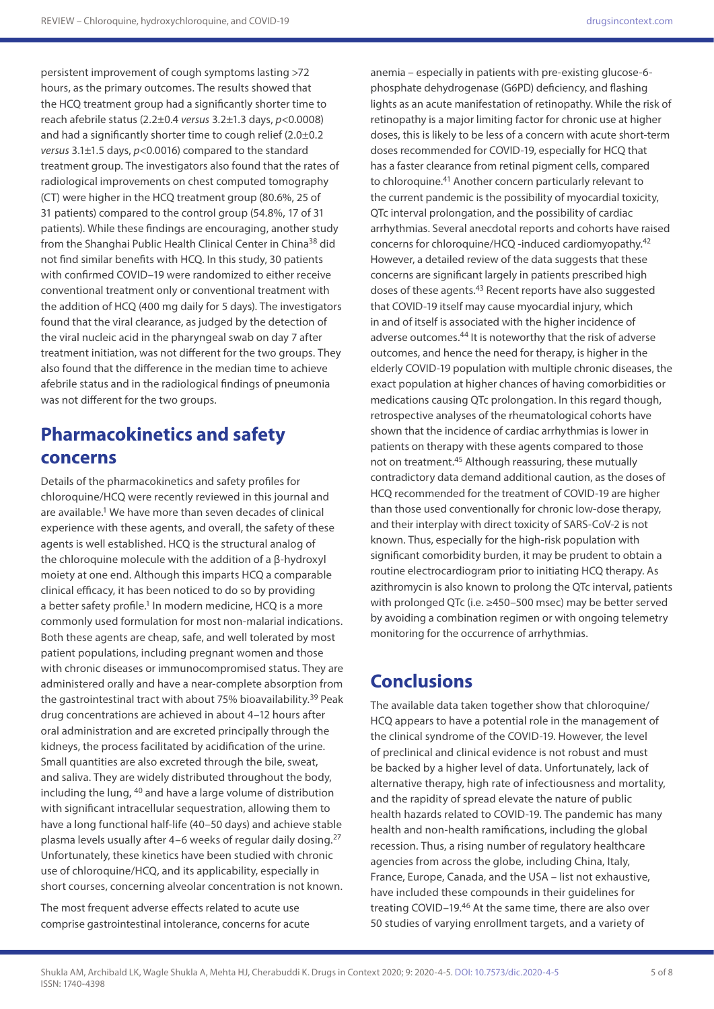persistent improvement of cough symptoms lasting >72 hours, as the primary outcomes. The results showed that the HCQ treatment group had a significantly shorter time to reach afebrile status (2.2±0.4 *versus* 3.2±1.3 days, *p*<0.0008) and had a significantly shorter time to cough relief (2.0±0.2 *versus* 3.1±1.5 days, *p*<0.0016) compared to the standard treatment group. The investigators also found that the rates of radiological improvements on chest computed tomography (CT) were higher in the HCQ treatment group (80.6%, 25 of 31 patients) compared to the control group (54.8%, 17 of 31 patients). While these findings are encouraging, another study from the Shanghai Public Health Clinical Center in China<sup>38</sup> did not find similar benefits with HCQ. In this study, 30 patients with confirmed COVID–19 were randomized to either receive conventional treatment only or conventional treatment with the addition of HCQ (400 mg daily for 5 days). The investigators found that the viral clearance, as judged by the detection of the viral nucleic acid in the pharyngeal swab on day 7 after treatment initiation, was not different for the two groups. They also found that the difference in the median time to achieve afebrile status and in the radiological findings of pneumonia was not different for the two groups.

## **Pharmacokinetics and safety concerns**

Details of the pharmacokinetics and safety profiles for chloroquine/HCQ were recently reviewed in this journal and are available.<sup>1</sup> We have more than seven decades of clinical experience with these agents, and overall, the safety of these agents is well established. HCQ is the structural analog of the chloroquine molecule with the addition of a β-hydroxyl moiety at one end. Although this imparts HCQ a comparable clinical efficacy, it has been noticed to do so by providing a better safety profile.<sup>1</sup> In modern medicine, HCQ is a more commonly used formulation for most non-malarial indications. Both these agents are cheap, safe, and well tolerated by most patient populations, including pregnant women and those with chronic diseases or immunocompromised status. They are administered orally and have a near-complete absorption from the gastrointestinal tract with about 75% bioavailability.<sup>39</sup> Peak drug concentrations are achieved in about 4–12 hours after oral administration and are excreted principally through the kidneys, the process facilitated by acidification of the urine. Small quantities are also excreted through the bile, sweat, and saliva. They are widely distributed throughout the body, including the lung, 40 and have a large volume of distribution with significant intracellular sequestration, allowing them to have a long functional half-life (40–50 days) and achieve stable plasma levels usually after 4–6 weeks of regular daily dosing.27 Unfortunately, these kinetics have been studied with chronic use of chloroquine/HCQ, and its applicability, especially in short courses, concerning alveolar concentration is not known.

The most frequent adverse effects related to acute use comprise gastrointestinal intolerance, concerns for acute

anemia – especially in patients with pre-existing glucose-6 phosphate dehydrogenase (G6PD) deficiency, and flashing lights as an acute manifestation of retinopathy. While the risk of retinopathy is a major limiting factor for chronic use at higher doses, this is likely to be less of a concern with acute short-term doses recommended for COVID-19, especially for HCQ that has a faster clearance from retinal pigment cells, compared to chloroquine.41 Another concern particularly relevant to the current pandemic is the possibility of myocardial toxicity, QTc interval prolongation, and the possibility of cardiac arrhythmias. Several anecdotal reports and cohorts have raised concerns for chloroquine/HCQ -induced cardiomyopathy.42 However, a detailed review of the data suggests that these concerns are significant largely in patients prescribed high doses of these agents.<sup>43</sup> Recent reports have also suggested that COVID-19 itself may cause myocardial injury, which in and of itself is associated with the higher incidence of adverse outcomes.<sup>44</sup> It is noteworthy that the risk of adverse outcomes, and hence the need for therapy, is higher in the elderly COVID-19 population with multiple chronic diseases, the exact population at higher chances of having comorbidities or medications causing QTc prolongation. In this regard though, retrospective analyses of the rheumatological cohorts have shown that the incidence of cardiac arrhythmias is lower in patients on therapy with these agents compared to those not on treatment.45 Although reassuring, these mutually contradictory data demand additional caution, as the doses of HCQ recommended for the treatment of COVID-19 are higher than those used conventionally for chronic low-dose therapy, and their interplay with direct toxicity of SARS-CoV-2 is not known. Thus, especially for the high-risk population with significant comorbidity burden, it may be prudent to obtain a routine electrocardiogram prior to initiating HCQ therapy. As azithromycin is also known to prolong the QTc interval, patients with prolonged QTc (i.e. ≥450–500 msec) may be better served by avoiding a combination regimen or with ongoing telemetry monitoring for the occurrence of arrhythmias.

## **Conclusions**

The available data taken together show that chloroquine/ HCQ appears to have a potential role in the management of the clinical syndrome of the COVID-19. However, the level of preclinical and clinical evidence is not robust and must be backed by a higher level of data. Unfortunately, lack of alternative therapy, high rate of infectiousness and mortality, and the rapidity of spread elevate the nature of public health hazards related to COVID-19. The pandemic has many health and non-health ramifications, including the global recession. Thus, a rising number of regulatory healthcare agencies from across the globe, including China, Italy, France, Europe, Canada, and the USA – list not exhaustive, have included these compounds in their guidelines for treating COVID–19.<sup>46</sup> At the same time, there are also over 50 studies of varying enrollment targets, and a variety of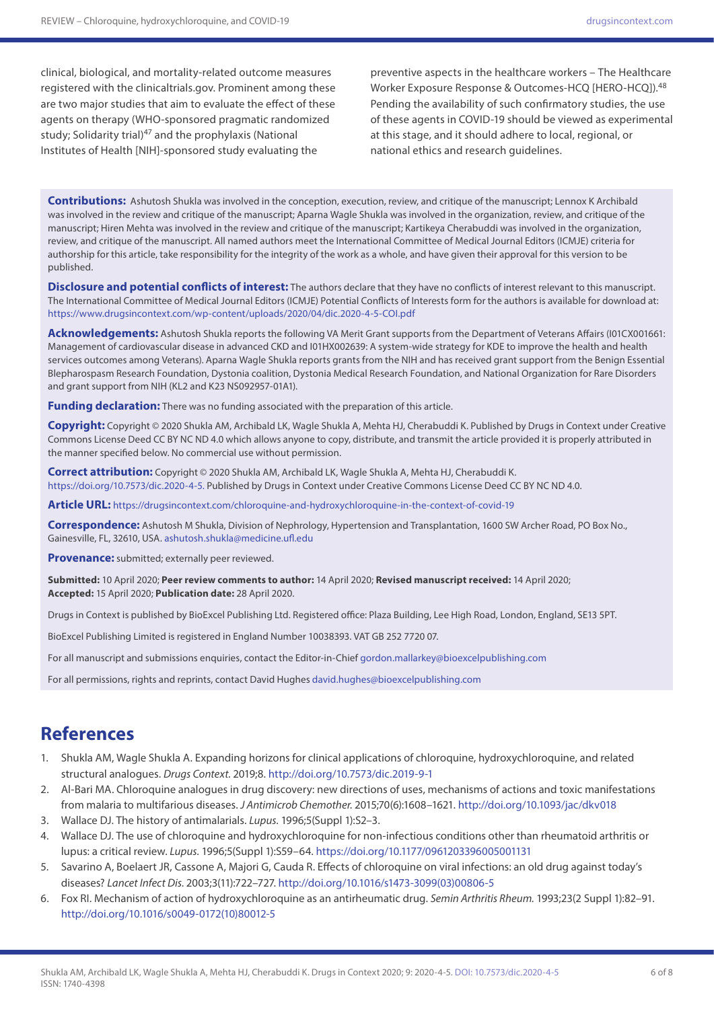clinical, biological, and mortality-related outcome measures registered with the clinicaltrials.gov. Prominent among these are two major studies that aim to evaluate the effect of these agents on therapy (WHO-sponsored pragmatic randomized study; Solidarity trial)<sup>47</sup> and the prophylaxis (National Institutes of Health [NIH]-sponsored study evaluating the

preventive aspects in the healthcare workers – The Healthcare Worker Exposure Response & Outcomes-HCQ [HERO-HCQ]).48 Pending the availability of such confirmatory studies, the use of these agents in COVID-19 should be viewed as experimental at this stage, and it should adhere to local, regional, or national ethics and research guidelines.

**Contributions:** Ashutosh Shukla was involved in the conception, execution, review, and critique of the manuscript; Lennox K Archibald was involved in the review and critique of the manuscript; Aparna Wagle Shukla was involved in the organization, review, and critique of the manuscript; Hiren Mehta was involved in the review and critique of the manuscript; Kartikeya Cherabuddi was involved in the organization, review, and critique of the manuscript. All named authors meet the International Committee of Medical Journal Editors (ICMJE) criteria for authorship for this article, take responsibility for the integrity of the work as a whole, and have given their approval for this version to be published.

**Disclosure and potential conflicts of interest:** The authors declare that they have no conflicts of interest relevant to this manuscript. The International Committee of Medical Journal Editors (ICMJE) Potential Conflicts of Interests form for the authors is available for download at: <https://www.drugsincontext.com/wp-content/uploads/2020/04/dic.2020-4-5-COI.pdf>

**Acknowledgements:** Ashutosh Shukla reports the following VA Merit Grant supports from the Department of Veterans Affairs (I01CX001661: Management of cardiovascular disease in advanced CKD and I01HX002639: A system-wide strategy for KDE to improve the health and health services outcomes among Veterans). Aparna Wagle Shukla reports grants from the NIH and has received grant support from the Benign Essential Blepharospasm Research Foundation, Dystonia coalition, Dystonia Medical Research Foundation, and National Organization for Rare Disorders and grant support from NIH (KL2 and K23 NS092957-01A1).

**Funding declaration:** There was no funding associated with the preparation of this article.

**Copyright:** Copyright © 2020 Shukla AM, Archibald LK, Wagle Shukla A, Mehta HJ, Cherabuddi K. Published by Drugs in Context under Creative Commons License Deed CC BY NC ND 4.0 which allows anyone to copy, distribute, and transmit the article provided it is properly attributed in the manner specified below. No commercial use without permission.

**Correct attribution:** Copyright © 2020 Shukla AM, Archibald LK, Wagle Shukla A, Mehta HJ, Cherabuddi K. [https://doi.org/10.7573/dic.2020-4-5.](https://doi.org/10.7573/dic.2020-4-5) Published by Drugs in Context under Creative Commons License Deed CC BY NC ND 4.0.

**Article URL:** <https://drugsincontext.com/chloroquine-and-hydroxychloroquine-in-the-context-of-covid-19>

**Correspondence:** Ashutosh M Shukla, Division of Nephrology, Hypertension and Transplantation, 1600 SW Archer Road, PO Box No., Gainesville, FL, 32610, USA. [ashutosh.shukla@medicine.ufl.edu](mailto:ashutosh.shukla@medicine.ufl.edu)

**Provenance:** submitted; externally peer reviewed.

**Submitted:** 10 April 2020; **Peer review comments to author:** 14 April 2020; **Revised manuscript received:** 14 April 2020; **Accepted:** 15 April 2020; **Publication date:** 28 April 2020.

Drugs in Context is published by BioExcel Publishing Ltd. Registered office: Plaza Building, Lee High Road, London, England, SE13 5PT.

BioExcel Publishing Limited is registered in England Number 10038393. VAT GB 252 7720 07.

For all manuscript and submissions enquiries, contact the Editor-in-Chief [gordon.mallarkey@bioexcelpublishing.com](mailto:gordon.mallarkey@bioexcelpublishing.com)

For all permissions, rights and reprints, contact David Hughes [david.hughes@bioexcelpublishing.com](mailto:david.hughes@bioexcelpublishing.com)

### **References**

- 1. Shukla AM, Wagle Shukla A. Expanding horizons for clinical applications of chloroquine, hydroxychloroquine, and related structural analogues. *Drugs Context.* 2019;8. <http://doi.org/10.7573/dic.2019-9-1>
- 2. Al-Bari MA. Chloroquine analogues in drug discovery: new directions of uses, mechanisms of actions and toxic manifestations from malaria to multifarious diseases. *J Antimicrob Chemother.* 2015;70(6):1608–1621.<http://doi.org/10.1093/jac/dkv018>
- 3. Wallace DJ. The history of antimalarials. *Lupus.* 1996;5(Suppl 1):S2–3.
- 4. Wallace DJ. The use of chloroquine and hydroxychloroquine for non-infectious conditions other than rheumatoid arthritis or lupus: a critical review. *Lupus.* 1996;5(Suppl 1):S59–64. <https://doi.org/10.1177/0961203396005001131>
- 5. Savarino A, Boelaert JR, Cassone A, Majori G, Cauda R. Effects of chloroquine on viral infections: an old drug against today's diseases? *Lancet Infect Dis.* 2003;3(11):722–727. [http://doi.org/10.1016/s1473-3099\(03\)00806-5](http://doi.org/10.1016/s1473-3099(03)00806-5)
- 6. Fox RI. Mechanism of action of hydroxychloroquine as an antirheumatic drug. *Semin Arthritis Rheum.* 1993;23(2 Suppl 1):82–91. [http://doi.org/10.1016/s0049-0172\(10\)80012-5](http://doi.org/10.1016/s0049-0172(10)80012-5)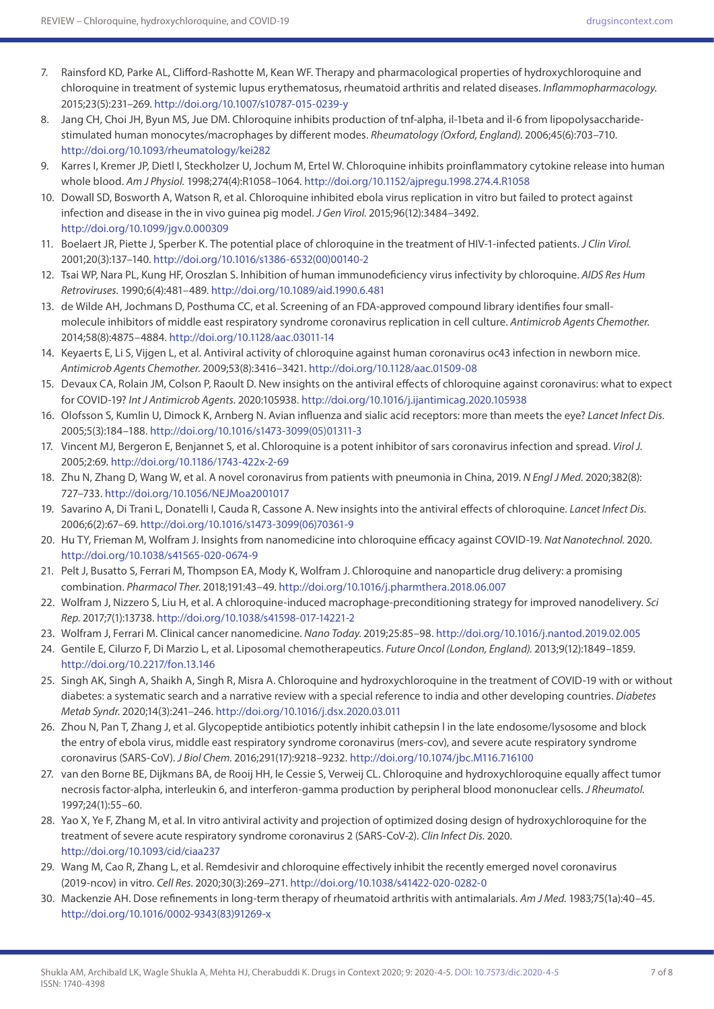- 7. Rainsford KD, Parke AL, Clifford-Rashotte M, Kean WF. Therapy and pharmacological properties of hydroxychloroquine and chloroquine in treatment of systemic lupus erythematosus, rheumatoid arthritis and related diseases. *Inflammopharmacology.*  2015;23(5):231–269. <http://doi.org/10.1007/s10787-015-0239-y>
- 8. Jang CH, Choi JH, Byun MS, Jue DM. Chloroquine inhibits production of tnf-alpha, il-1beta and il-6 from lipopolysaccharidestimulated human monocytes/macrophages by different modes. *Rheumatology (Oxford, England).* 2006;45(6):703–710. <http://doi.org/10.1093/rheumatology/kei282>
- 9. Karres I, Kremer JP, Dietl I, Steckholzer U, Jochum M, Ertel W. Chloroquine inhibits proinflammatory cytokine release into human whole blood. *Am J Physiol.* 1998;274(4):R1058–1064. <http://doi.org/10.1152/ajpregu.1998.274.4.R1058>
- 10. Dowall SD, Bosworth A, Watson R, et al. Chloroquine inhibited ebola virus replication in vitro but failed to protect against infection and disease in the in vivo guinea pig model. *J Gen Virol.* 2015;96(12):3484–3492. <http://doi.org/10.1099/jgv.0.000309>
- 11. Boelaert JR, Piette J, Sperber K. The potential place of chloroquine in the treatment of HIV-1-infected patients. *J Clin Virol.*  2001;20(3):137–140. [http://doi.org/10.1016/s1386-6532\(00\)00140-2](http://doi.org/10.1016/s1386-6532(00)00140-2)
- 12. Tsai WP, Nara PL, Kung HF, Oroszlan S. Inhibition of human immunodeficiency virus infectivity by chloroquine. *AIDS Res Hum Retroviruses.* 1990;6(4):481–489.<http://doi.org/10.1089/aid.1990.6.481>
- 13. de Wilde AH, Jochmans D, Posthuma CC, et al. Screening of an FDA-approved compound library identifies four smallmolecule inhibitors of middle east respiratory syndrome coronavirus replication in cell culture. *Antimicrob Agents Chemother.*  2014;58(8):4875–4884.<http://doi.org/10.1128/aac.03011-14>
- 14. Keyaerts E, Li S, Vijgen L, et al. Antiviral activity of chloroquine against human coronavirus oc43 infection in newborn mice. *Antimicrob Agents Chemother.* 2009;53(8):3416–3421. <http://doi.org/10.1128/aac.01509-08>
- 15. Devaux CA, Rolain JM, Colson P, Raoult D. New insights on the antiviral effects of chloroquine against coronavirus: what to expect for COVID-19? *Int J Antimicrob Agents.* 2020:105938.<http://doi.org/10.1016/j.ijantimicag.2020.105938>
- 16. Olofsson S, Kumlin U, Dimock K, Arnberg N. Avian influenza and sialic acid receptors: more than meets the eye? *Lancet Infect Dis.*  2005;5(3):184–188. [http://doi.org/10.1016/s1473-3099\(05\)01311-3](http://doi.org/10.1016/s1473-3099(05)01311-3)
- 17. Vincent MJ, Bergeron E, Benjannet S, et al. Chloroquine is a potent inhibitor of sars coronavirus infection and spread. *Virol J.*  2005;2:69.<http://doi.org/10.1186/1743-422x-2-69>
- 18. Zhu N, Zhang D, Wang W, et al. A novel coronavirus from patients with pneumonia in China, 2019. *N Engl J Med.* 2020;382(8): 727–733.<http://doi.org/10.1056/NEJMoa2001017>
- 19. Savarino A, Di Trani L, Donatelli I, Cauda R, Cassone A. New insights into the antiviral effects of chloroquine. *Lancet Infect Dis.*  2006;6(2):67–69. [http://doi.org/10.1016/s1473-3099\(06\)70361-9](http://doi.org/10.1016/s1473-3099(06)70361-9)
- 20. Hu TY, Frieman M, Wolfram J. Insights from nanomedicine into chloroquine efficacy against COVID-19. *Nat Nanotechnol.* 2020. <http://doi.org/10.1038/s41565-020-0674-9>
- 21. Pelt J, Busatto S, Ferrari M, Thompson EA, Mody K, Wolfram J. Chloroquine and nanoparticle drug delivery: a promising combination. *Pharmacol Ther.* 2018;191:43–49. <http://doi.org/10.1016/j.pharmthera.2018.06.007>
- 22. Wolfram J, Nizzero S, Liu H, et al. A chloroquine-induced macrophage-preconditioning strategy for improved nanodelivery. *Sci Rep.* 2017;7(1):13738. <http://doi.org/10.1038/s41598-017-14221-2>
- 23. Wolfram J, Ferrari M. Clinical cancer nanomedicine. *Nano Today.* 2019;25:85–98. <http://doi.org/10.1016/j.nantod.2019.02.005>
- 24. Gentile E, Cilurzo F, Di Marzio L, et al. Liposomal chemotherapeutics. *Future Oncol (London, England).* 2013;9(12):1849–1859. <http://doi.org/10.2217/fon.13.146>
- 25. Singh AK, Singh A, Shaikh A, Singh R, Misra A. Chloroquine and hydroxychloroquine in the treatment of COVID-19 with or without diabetes: a systematic search and a narrative review with a special reference to india and other developing countries. *Diabetes Metab Syndr.* 2020;14(3):241–246. <http://doi.org/10.1016/j.dsx.2020.03.011>
- 26. Zhou N, Pan T, Zhang J, et al. Glycopeptide antibiotics potently inhibit cathepsin l in the late endosome/lysosome and block the entry of ebola virus, middle east respiratory syndrome coronavirus (mers-cov), and severe acute respiratory syndrome coronavirus (SARS-CoV). *J Biol Chem.* 2016;291(17):9218–9232. <http://doi.org/10.1074/jbc.M116.716100>
- 27. van den Borne BE, Dijkmans BA, de Rooij HH, le Cessie S, Verweij CL. Chloroquine and hydroxychloroquine equally affect tumor necrosis factor-alpha, interleukin 6, and interferon-gamma production by peripheral blood mononuclear cells. *J Rheumatol.*  1997;24(1):55–60.
- 28. Yao X, Ye F, Zhang M, et al. In vitro antiviral activity and projection of optimized dosing design of hydroxychloroquine for the treatment of severe acute respiratory syndrome coronavirus 2 (SARS-CoV-2). *Clin Infect Dis.* 2020. <http://doi.org/10.1093/cid/ciaa237>
- 29. Wang M, Cao R, Zhang L, et al. Remdesivir and chloroquine effectively inhibit the recently emerged novel coronavirus (2019-ncov) in vitro. *Cell Res.* 2020;30(3):269–271.<http://doi.org/10.1038/s41422-020-0282-0>
- 30. Mackenzie AH. Dose refinements in long-term therapy of rheumatoid arthritis with antimalarials. *Am J Med.* 1983;75(1a):40–45. [http://doi.org/10.1016/0002-9343\(83\)91269-x](http://doi.org/10.1016/0002-9343(83)91269-x)